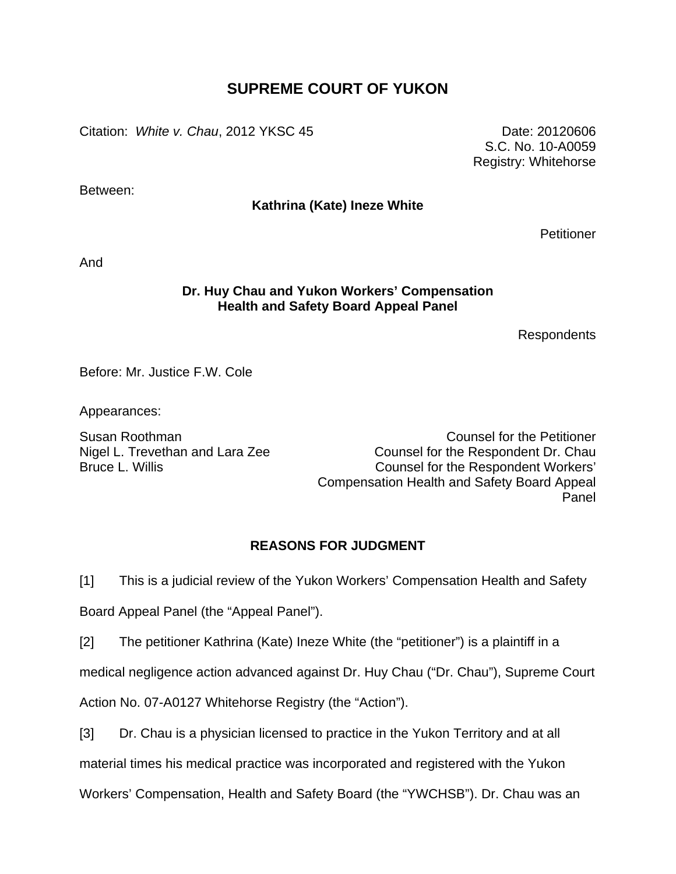# **SUPREME COURT OF YUKON**

Citation: *White v. Chau*, 2012 YKSC 45 **Date: 20120606** Date: 20120606

Between:

## **Kathrina (Kate) Ineze White**

**Petitioner** 

S.C. No. 10-A0059 Registry: Whitehorse

And

#### **Dr. Huy Chau and Yukon Workers' Compensation Health and Safety Board Appeal Panel**

Respondents

Before: Mr. Justice F.W. Cole

Appearances:

Susan Roothman Counsel for the Petitioner Nigel L. Trevethan and Lara Zee Counsel for the Respondent Dr. Chau Bruce L. Willis **Example 20 Inc.** Counsel for the Respondent Workers' Compensation Health and Safety Board Appeal Panel

## **REASONS FOR JUDGMENT**

 $[1]$ This is a judicial review of the Yukon Workers' Compensation Health and Safety

Board Appeal Panel (the "Appeal Panel").

[2] The petitioner Kathrina (Kate) Ineze White (the "petitioner") is a plaintiff in a

medical negligence action advanced against Dr. Huy Chau ("Dr. Chau"), Supreme Court

Action No. 07-A0127 Whitehorse Registry (the "Action").

[3] Dr. Chau is a physician licensed to practice in the Yukon Territory and at all

material times his medical practice was incorporated and registered with the Yukon

Workers' Compensation, Health and Safety Board (the "YWCHSB"). Dr. Chau was an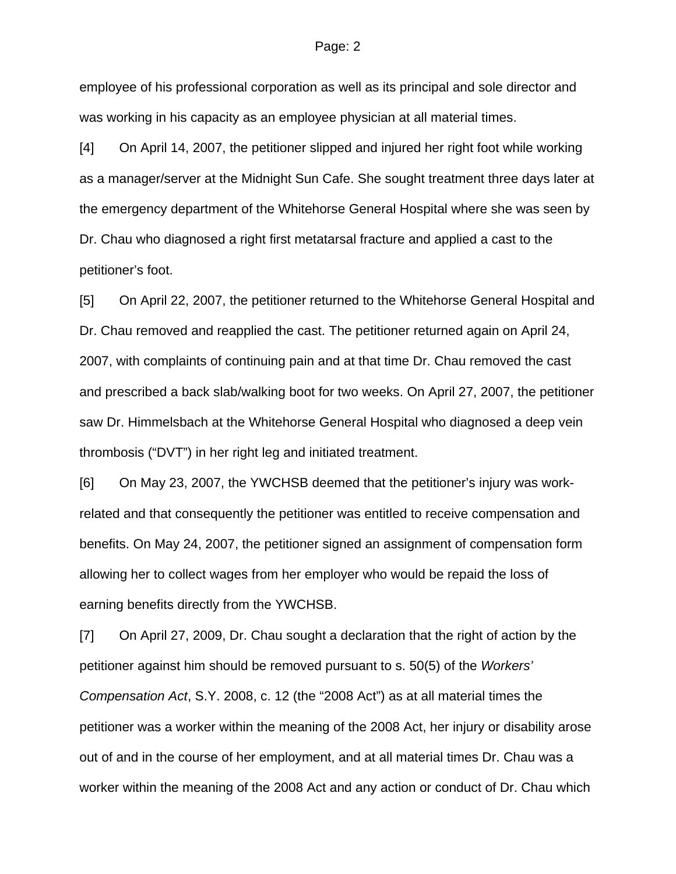#### Page: 2

employee of his professional corporation as well as its principal and sole director and was working in his capacity as an employee physician at all material times.

[4] On April 14, 2007, the petitioner slipped and injured her right foot while working as a manager/server at the Midnight Sun Cafe. She sought treatment three days later at the emergency department of the Whitehorse General Hospital where she was seen by Dr. Chau who diagnosed a right first metatarsal fracture and applied a cast to the petitioner's foot.

[5] On April 22, 2007, the petitioner returned to the Whitehorse General Hospital and Dr. Chau removed and reapplied the cast. The petitioner returned again on April 24, 2007, with complaints of continuing pain and at that time Dr. Chau removed the cast and prescribed a back slab/walking boot for two weeks. On April 27, 2007, the petitioner saw Dr. Himmelsbach at the Whitehorse General Hospital who diagnosed a deep vein thrombosis ("DVT") in her right leg and initiated treatment.

[6] On May 23, 2007, the YWCHSB deemed that the petitioner's injury was workrelated and that consequently the petitioner was entitled to receive compensation and benefits. On May 24, 2007, the petitioner signed an assignment of compensation form allowing her to collect wages from her employer who would be repaid the loss of earning benefits directly from the YWCHSB.

[7] On April 27, 2009, Dr. Chau sought a declaration that the right of action by the petitioner against him should be removed pursuant to s. 50(5) of the *Workers' Compensation Act*, S.Y. 2008, c. 12 (the "2008 Act") as at all material times the petitioner was a worker within the meaning of the 2008 Act, her injury or disability arose out of and in the course of her employment, and at all material times Dr. Chau was a worker within the meaning of the 2008 Act and any action or conduct of Dr. Chau which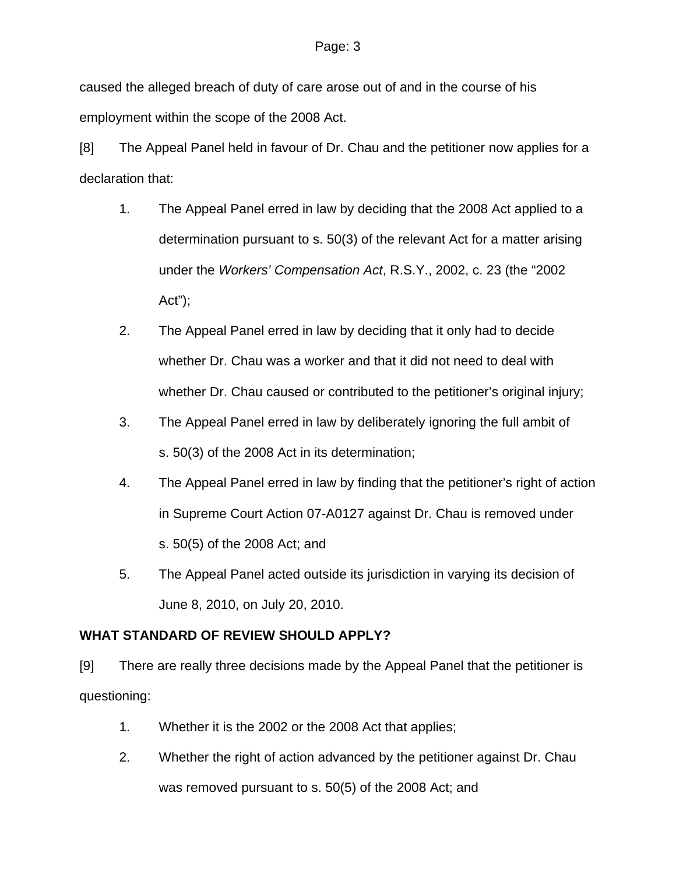caused the alleged breach of duty of care arose out of and in the course of his employment within the scope of the 2008 Act.

[8] The Appeal Panel held in favour of Dr. Chau and the petitioner now applies for a declaration that:

- 1. The Appeal Panel erred in law by deciding that the 2008 Act applied to a determination pursuant to s. 50(3) of the relevant Act for a matter arising under the *Workers' Compensation Act*, R.S.Y., 2002, c. 23 (the "2002 Act");
- 2. The Appeal Panel erred in law by deciding that it only had to decide whether Dr. Chau was a worker and that it did not need to deal with whether Dr. Chau caused or contributed to the petitioner's original injury;
- 3. The Appeal Panel erred in law by deliberately ignoring the full ambit of s. 50(3) of the 2008 Act in its determination;
- 4. The Appeal Panel erred in law by finding that the petitioner's right of action in Supreme Court Action 07-A0127 against Dr. Chau is removed under s. 50(5) of the 2008 Act; and
- 5. The Appeal Panel acted outside its jurisdiction in varying its decision of June 8, 2010, on July 20, 2010.

## **WHAT STANDARD OF REVIEW SHOULD APPLY?**

[9] There are really three decisions made by the Appeal Panel that the petitioner is questioning:

- 1. Whether it is the 2002 or the 2008 Act that applies;
- 2. Whether the right of action advanced by the petitioner against Dr. Chau was removed pursuant to s. 50(5) of the 2008 Act; and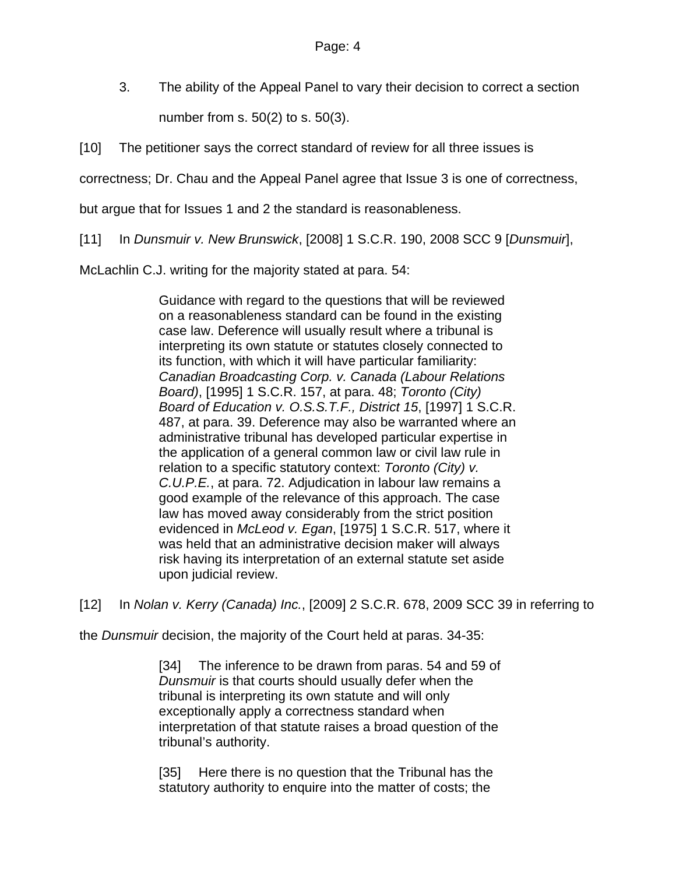3. The ability of the Appeal Panel to vary their decision to correct a section number from s. 50(2) to s. 50(3).

[10] The petitioner says the correct standard of review for all three issues is

correctness; Dr. Chau and the Appeal Panel agree that Issue 3 is one of correctness,

but argue that for Issues 1 and 2 the standard is reasonableness.

[11] In *Dunsmuir v. New Brunswick*, [2008] 1 S.C.R. 190, 2008 SCC 9 [*Dunsmuir*],

McLachlin C.J. writing for the majority stated at para. 54:

Guidance with regard to the questions that will be reviewed on a reasonableness standard can be found in the existing case law. Deference will usually result where a tribunal is interpreting its own statute or statutes closely connected to its function, with which it will have particular familiarity: *Canadian Broadcasting Corp. v. Canada (Labour Relations Board)*, [1995] 1 S.C.R. 157, at para. 48; *Toronto (City) Board of Education v. O.S.S.T.F., District 15*, [1997] 1 S.C.R. 487, at para. 39. Deference may also be warranted where an administrative tribunal has developed particular expertise in the application of a general common law or civil law rule in relation to a specific statutory context: *Toronto (City) v. C.U.P.E.*, at para. 72. Adjudication in labour law remains a good example of the relevance of this approach. The case law has moved away considerably from the strict position evidenced in *McLeod v. Egan*, [1975] 1 S.C.R. 517, where it was held that an administrative decision maker will always risk having its interpretation of an external statute set aside upon judicial review.

[12] In *Nolan v. Kerry (Canada) Inc.*, [2009] 2 S.C.R. 678, 2009 SCC 39 in referring to

the *Dunsmuir* decision, the majority of the Court held at paras. 34-35:

[34] The inference to be drawn from paras. 54 and 59 of *Dunsmuir* is that courts should usually defer when the tribunal is interpreting its own statute and will only exceptionally apply a correctness standard when interpretation of that statute raises a broad question of the tribunal's authority.

[35] Here there is no question that the Tribunal has the statutory authority to enquire into the matter of costs; the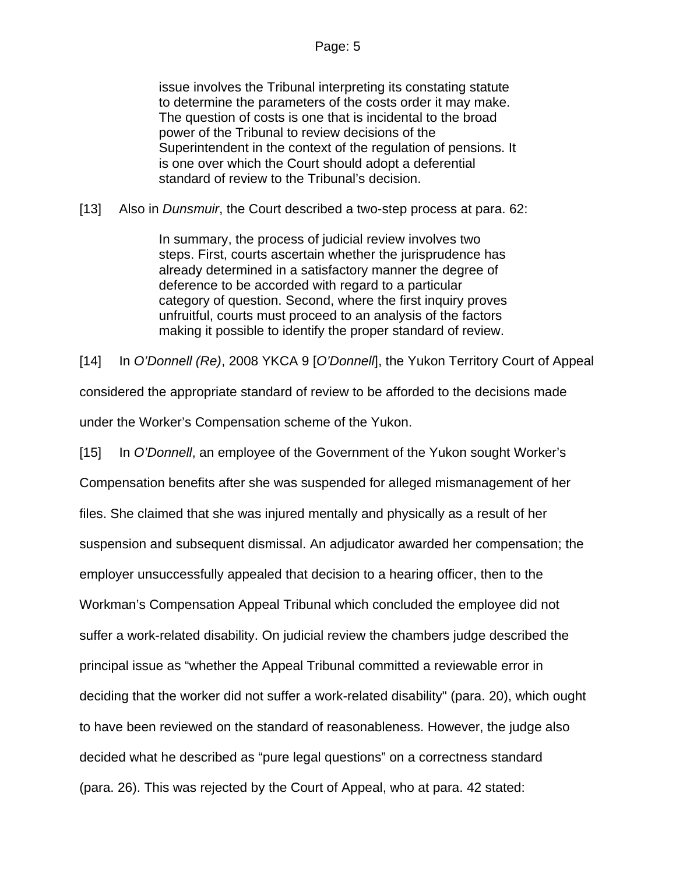issue involves the Tribunal interpreting its constating statute to determine the parameters of the costs order it may make. The question of costs is one that is incidental to the broad power of the Tribunal to review decisions of the Superintendent in the context of the regulation of pensions. It is one over which the Court should adopt a deferential standard of review to the Tribunal's decision.

 $[13]$ Also in *Dunsmuir*, the Court described a two-step process at para. 62:

> In summary, the process of judicial review involves two steps. First, courts ascertain whether the jurisprudence has already determined in a satisfactory manner the degree of deference to be accorded with regard to a particular category of question. Second, where the first inquiry proves unfruitful, courts must proceed to an analysis of the factors making it possible to identify the proper standard of review.

[14] In *O'Donnell (Re)*, 2008 YKCA 9 [*O'Donnell*], the Yukon Territory Court of Appeal

considered the appropriate standard of review to be afforded to the decisions made

under the Worker's Compensation scheme of the Yukon.

[15] In *O'Donnell*, an employee of the Government of the Yukon sought Worker's Compensation benefits after she was suspended for alleged mismanagement of her files. She claimed that she was injured mentally and physically as a result of her suspension and subsequent dismissal. An adjudicator awarded her compensation; the employer unsuccessfully appealed that decision to a hearing officer, then to the Workman's Compensation Appeal Tribunal which concluded the employee did not suffer a work-related disability. On judicial review the chambers judge described the principal issue as "whether the Appeal Tribunal committed a reviewable error in deciding that the worker did not suffer a work-related disability" (para. 20), which ought to have been reviewed on the standard of reasonableness. However, the judge also decided what he described as "pure legal questions" on a correctness standard (para. 26). This was rejected by the Court of Appeal, who at para. 42 stated: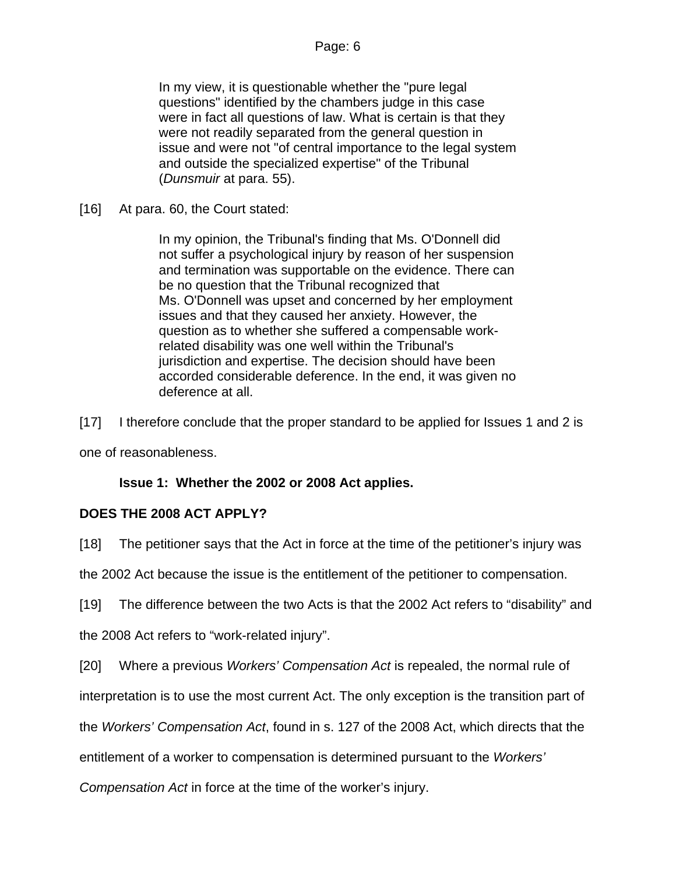In my view, it is questionable whether the "pure legal questions" identified by the chambers judge in this case were in fact all questions of law. What is certain is that they were not readily separated from the general question in issue and were not "of central importance to the legal system and outside the specialized expertise" of the Tribunal (*Dunsmuir* at para. 55).

[16] At para. 60, the Court stated:

> In my opinion, the Tribunal's finding that Ms. O'Donnell did not suffer a psychological injury by reason of her suspension and termination was supportable on the evidence. There can be no question that the Tribunal recognized that Ms. O'Donnell was upset and concerned by her employment issues and that they caused her anxiety. However, the question as to whether she suffered a compensable workrelated disability was one well within the Tribunal's jurisdiction and expertise. The decision should have been accorded considerable deference. In the end, it was given no deference at all.

[17] I therefore conclude that the proper standard to be applied for Issues 1 and 2 is

one of reasonableness.

## **Issue 1: Whether the 2002 or 2008 Act applies.**

## **DOES THE 2008 ACT APPLY?**

[18] The petitioner says that the Act in force at the time of the petitioner's injury was

the 2002 Act because the issue is the entitlement of the petitioner to compensation.

[19] The difference between the two Acts is that the 2002 Act refers to "disability" and

the 2008 Act refers to "work-related injury".

[20] Where a previous *Workers' Compensation Act* is repealed, the normal rule of

interpretation is to use the most current Act. The only exception is the transition part of

the *Workers' Compensation Act*, found in s. 127 of the 2008 Act, which directs that the

entitlement of a worker to compensation is determined pursuant to the *Workers'* 

*Compensation Act* in force at the time of the worker's injury.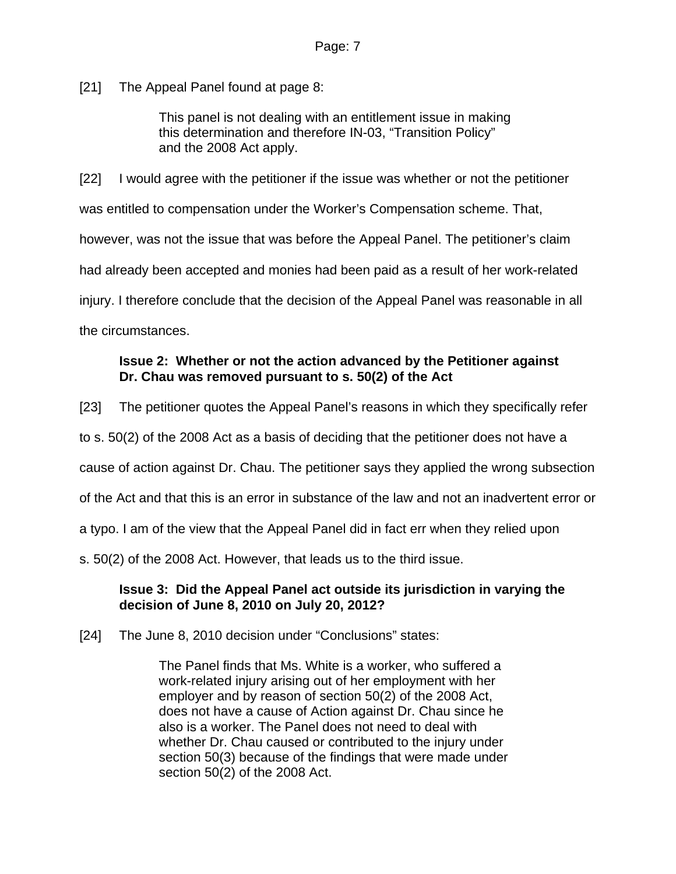[21] The Appeal Panel found at page 8:

> This panel is not dealing with an entitlement issue in making this determination and therefore IN-03, "Transition Policy" and the 2008 Act apply.

[22] I would agree with the petitioner if the issue was whether or not the petitioner was entitled to compensation under the Worker's Compensation scheme. That, however, was not the issue that was before the Appeal Panel. The petitioner's claim had already been accepted and monies had been paid as a result of her work-related injury. I therefore conclude that the decision of the Appeal Panel was reasonable in all the circumstances.

## **Issue 2: Whether or not the action advanced by the Petitioner against Dr. Chau was removed pursuant to s. 50(2) of the Act**

[23] The petitioner quotes the Appeal Panel's reasons in which they specifically refer

to s. 50(2) of the 2008 Act as a basis of deciding that the petitioner does not have a

cause of action against Dr. Chau. The petitioner says they applied the wrong subsection

of the Act and that this is an error in substance of the law and not an inadvertent error or

a typo. I am of the view that the Appeal Panel did in fact err when they relied upon

s. 50(2) of the 2008 Act. However, that leads us to the third issue.

## **Issue 3: Did the Appeal Panel act outside its jurisdiction in varying the decision of June 8, 2010 on July 20, 2012?**

[24] The June 8, 2010 decision under "Conclusions" states:

The Panel finds that Ms. White is a worker, who suffered a work-related injury arising out of her employment with her employer and by reason of section 50(2) of the 2008 Act, does not have a cause of Action against Dr. Chau since he also is a worker. The Panel does not need to deal with whether Dr. Chau caused or contributed to the injury under section 50(3) because of the findings that were made under section 50(2) of the 2008 Act.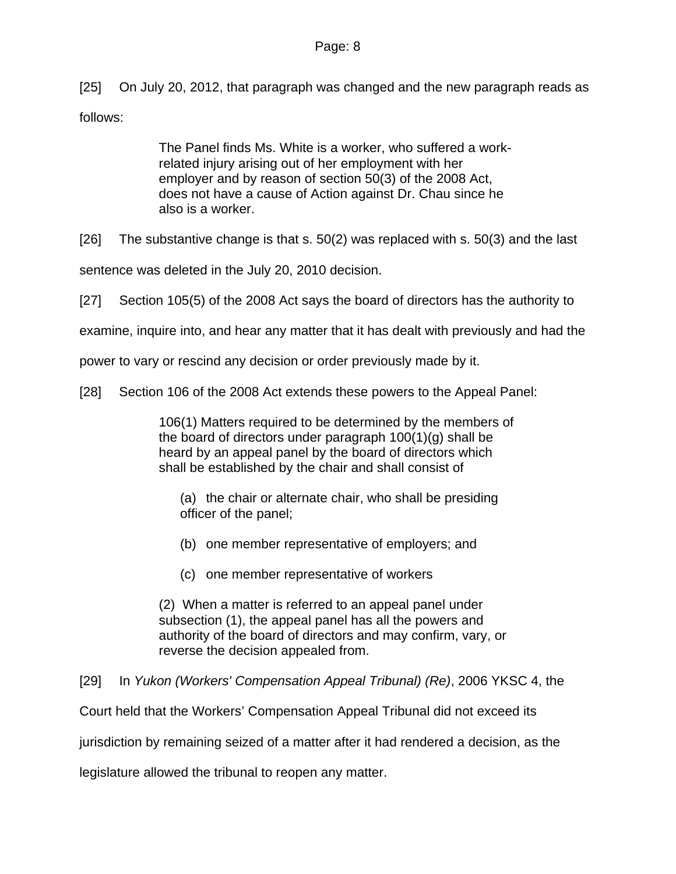[25] On July 20, 2012, that paragraph was changed and the new paragraph reads as follows:

> The Panel finds Ms. White is a worker, who suffered a workrelated injury arising out of her employment with her employer and by reason of section 50(3) of the 2008 Act, does not have a cause of Action against Dr. Chau since he also is a worker.

[26] The substantive change is that s. 50(2) was replaced with s. 50(3) and the last

sentence was deleted in the July 20, 2010 decision.

[27] Section 105(5) of the 2008 Act says the board of directors has the authority to

examine, inquire into, and hear any matter that it has dealt with previously and had the

power to vary or rescind any decision or order previously made by it.

[28] Section 106 of the 2008 Act extends these powers to the Appeal Panel:

106(1) Matters required to be determined by the members of the board of directors under paragraph 100(1)(g) shall be heard by an appeal panel by the board of directors which shall be established by the chair and shall consist of

(a) the chair or alternate chair, who shall be presiding officer of the panel;

(b) one member representative of employers; and

(c) one member representative of workers

(2) When a matter is referred to an appeal panel under subsection (1), the appeal panel has all the powers and authority of the board of directors and may confirm, vary, or reverse the decision appealed from.

[29] In *Yukon (Workers' Compensation Appeal Tribunal) (Re)*, 2006 YKSC 4, the

Court held that the Workers' Compensation Appeal Tribunal did not exceed its

jurisdiction by remaining seized of a matter after it had rendered a decision, as the

legislature allowed the tribunal to reopen any matter.